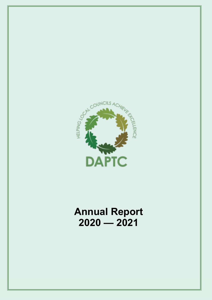

### **Annual Report 2020 — 2021**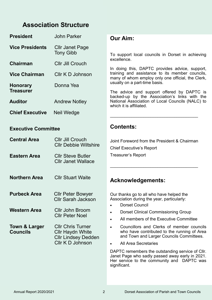### **Association Structure Association Structure**

| <b>President</b>           | <b>John Parker</b>                                      | <b>Our Aim:</b>                                                                                                                                        |
|----------------------------|---------------------------------------------------------|--------------------------------------------------------------------------------------------------------------------------------------------------------|
| <b>Vice Presidents</b>     | <b>Cllr Janet Page</b><br><b>Tony Gibb</b>              | To support local councils in Dorset in achieving                                                                                                       |
| <b>Chairman</b>            | <b>CIIr Jill Crouch</b>                                 | excellence.                                                                                                                                            |
| <b>Vice Chairman</b>       | Cllr K D Johnson                                        | In doing this, DAPTC provides advice, support,<br>training and assistance to its member councils,<br>many of whom employ only one official, the Clerk, |
| <b>Honorary</b>            | Donna Yea                                               | usually on a part-time basis.                                                                                                                          |
| <b>Treasurer</b>           |                                                         | The advice and support offered by DAPTC is<br>backed-up by the Association's links with the                                                            |
| <b>Auditor</b>             | <b>Andrew Notley</b>                                    | National Association of Local Councils (NALC) to<br>which it is affiliated.                                                                            |
| <b>Chief Executive</b>     | Neil Wedge                                              |                                                                                                                                                        |
|                            |                                                         |                                                                                                                                                        |
| <b>Executive Committee</b> |                                                         | <b>Contents:</b>                                                                                                                                       |
| <b>Central Area</b>        | <b>Cllr Jill Crouch</b><br><b>CIIr Debbie Wiltshire</b> | Joint Foreword from the President & Chairman<br><b>Chief Executive's Report</b>                                                                        |
| <b>Eastern Area</b>        | <b>CIIr Steve Butler</b><br><b>CIIr Janet Wallace</b>   | <b>Treasurer's Report</b>                                                                                                                              |

### **Acknowledgements:**

Our thanks go to all who have helped the Association during the year, particularly:

- Dorset Council
- Dorset Clinical Commissioning Group
- All members of the Executive Committee

\_\_\_\_\_\_\_\_\_\_\_\_\_\_\_\_\_\_\_\_\_\_\_\_\_\_\_\_\_\_\_\_\_\_\_\_\_

- Councillors and Clerks of member councils who have contributed to the running of Area and Town and Larger Councils Committees.
- All Area Secretaries

DAPTC remembers the outstanding service of Cllr. Janet Page who sadly passed away early in 2021. Her service to the community and DAPTC was significant.

 **Northern Area** 

**Northern Area** Cllr Stuart Waite

**Purbeck Area** Cllr Peter Bowyer

**Councils** Cllr Haydn White

**Town & Larger** Cllr Chris Turner

**Western Area Cllr John Broom** 

Cllr Mike Jones

**Cllr Peter Noel** 

Cllr Sarah Jackson

**Cllr Lindsey Dedden** 

Cllr K D Johnson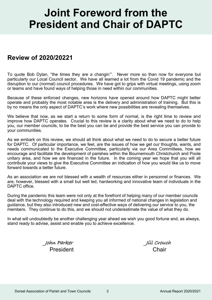# **Joint Foreword from the President and Chair of DAPTC**

### **Review of 2020/20221**

To quote Bob Dylan, "the times they are a changin'". Never more so than now for everyone but particularly our Local Council sector. We have all learned a lot from the Covid 19 pandemic and the disruption to our (normal) council procedures. We have got to grips with virtual meetings, using zoom or teams and have found ways of helping those in need within our communities.

Because of these enforced changes, new horizons have opened around how DAPTC might better operate and probably the most notable area is the delivery and administration of training. But this is by no means the only aspect of DAPTC's work where new possibilities are revealing themselves.

We believe that now, as we start a return to some form of normal, is the right time to review and improve how DAPTC operates. Crucial to this review is a clarity about what we need to do to help you, our member councils, to be the best you can be and provide the best service you can provide to your communities.

As we embark on this review, we should all think about what we need to do to secure a better future for DAPTC. Of particular importance, we feel, are the issues of how we get our thoughts, wants, and needs communicated to the Executive Committee, particularly via our Area Committees, how we encourage and facilitate the development of parishes within the Bournemouth Christchurch and Poole unitary area, and how we are financed in the future. In the coming year we hope that you will all contribute your views to give the Executive Committee an indication of how you would like us to move forward towards a better future.

As an association we are not blessed with a wealth of resources either in personnel or finances. We are, however, blessed with a small but well led, hardworking and innovative team of individuals in the DAPTC office.

During the pandemic this team were not only at the forefront of helping many of our member councils deal with the technology required and keeping you all informed of national changes in legislation and guidance, but they also introduced new and cost-effective ways of delivering our service to you, the members. They continue to do this, and we should not underestimate the value of what they do.

In what will undoubtedly be another challenging year ahead we wish you good fortune and, as always, stand ready to advise, assist and enable you to achieve excellence.

> John Parker Jill Crouch President Chair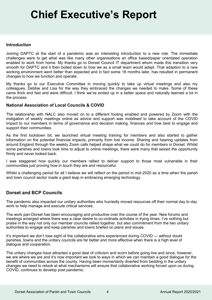# **Chief Executive's Report**

### **Introduction**

Joining DAPTC at the start of a pandemic was an interesting introduction to a new role. The immediate challenges were to get what was like many other organisations an office based/paper orientated operation enabled to work from home. My thanks go to Dorset Council IT department whom made this transition very smooth for DAPTC and it then boiled down to how we as a small team would adapt. That adaption to a new working environment went better than expected and in fact some 18 months later, has resulted in permanent changes to how we function and operate.

My thanks go to our Executive Committee in moving quickly to take up virtual meetings and also my colleagues, Debbie and Lisa for the way they embraced the changes we needed to make. Some of these came thick and fast and were difficult. I think we've ended up in a better space and naturally learned a lot in the process.

### **National Association of Local Councils & COVID**

The relationship with NALC also moved on to a different footing enabled and powered by Zoom with the instigation of weekly meetings online as advice and support was mobilised to take account of the COVID impact to our members in terms of governance and decision making, finances and how best to engage and support their communities.

As the first lockdown bit, we launched virtual meeting training for members and also started to gather information on the potential financial impacts, primarily from lost income. Sharing and hearing updates from around England through the weekly Zoom calls helped shape what we could do for members in Dorset. Whilst some parishes and towns took time to adjust to online meetings, there were many that seized the opportunity firmly and never looked back.

I was staggered how quickly our members rallied to deliver support to those most vulnerable in their communities just proving how in touch they are and resourceful.

Whilst a challenging period for all I believe we will reflect on the period in mid-2020 as a time when the parish and town council sector made a giant leap in embracing emerging technology.

### **Dorset and BCP Councils**

The pandemic also impacted our unitary authorities who hurriedly moved resources off their normal day to day work to help manage and execute critical services.

The work pan-Dorset has been encouraging and productive over the course of the year. New forums and meetings emerged where there was a clear desire to co-ordinate activities in trying times. I've nothing but praise in the way not only our member councils rallied together, but also commitment from the two unitary authorities to engage and keep parishes and towns briefed on plans and issues.

It's important we don't lose sight of the collaborative wins experienced during COVID — without doubt parishes, towns and the unitary councils are far better and more effective when there is a high level of dialogue and cooperation.

The unitary changes have attracted a good deal of criticism and scorn before going live and since, however, we are where we are and it's now important we look to ways in which we can maintain a good dialogue for the benefit of communities across the county. Having been momentarily diverted from bedding in the unitary changes we need to relook at what mechanisms will ensure that collaborative working forced upon us during COVID, continues to develop post pandemic.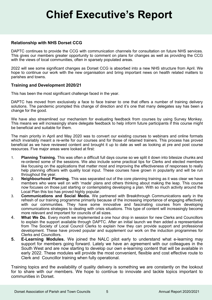# **Chief Executive's Report**

### **Relationship with NHS Dorset CCG**

DAPTC continues to provide the CCG with communication channels for consultation on future NHS services. This gives our members greater opportunity to comment on plans for changes as well as providing the CCG with the views of local communities, often in sparsely populated areas.

2022 will see some significant changes as Dorset CCG is absorbed into a new NHS structure from April. We hope to continue our work with the new organisation and bring important news on health related matters to parishes and towns.

### **Training and Development 2020/21**

This has been the most significant challenge faced in the year.

DAPTC has moved from exclusively a face to face trainer to one that offers a number of training delivery solutions. The pandemic prompted this change of direction and it's one that many delegates say has been a change for the good.

We have also streamlined our mechanism for evaluating feedback from courses by using Survey Monkey. This means we will increasingly share delegate feedback to help inform future participants if this course might be beneficial and suitable for them.

The main priority in April and May 2020 was to convert our existing courses to webinars and online formats which invariably meant a re-write for our courses and for those of retained trainers. This process has proved beneficial as we have reviewed content and brought it up to date as well as looking at pre and post course resources. Five major areas were looked at first:

- 1. **Planning Training.** This was often a difficult full days course so we split it down into bitesize chunks and re-ordered some of the sessions. We also include some practical tips for Clerks and elected members like focusing on the applications that matter most and improving the effectiveness of responses to really help planning officers with quality local input. These courses have grown in popularity and will be run throughout the year.
- 2. **Neighbourhood Planning.** This was separated out of the core planning training as it was clear we have members who were well on with 'made' plans and others thinking about making the leap. This course now focuses on those just starting or contemplating developing a plan. With so much activity around the Local Plan this too has proved highly popular.
- 3. **Communications and Social Media.** We partnered with Breakthrough Communications early in the refresh of our training programme primarily because of the increasing importance of engaging effectively with our communities. They have some innovative and fascinating courses from developing communications strategies to dealing with crisis situations. This type of content will increasingly become more relevant and important for councils of all sizes.
- 4. **What We Do.** Every month we implemented a one hour drop in session for new Clerks and Councillors to explain the support available through DAPTC. After an initial launch we then added a representative from The Society of Local Council Clerks to explain how they can provide support and professional development. These have proved popular and supplement our work on the induction programmes for Clerks and Councillors.
- **5. E-Learning Modules.** We joined the NALC pilot early to understand what e-learning may support for members going forward. Lately we have an agreement with our colleagues in the South West and are now starting to develop our own e-learning content that will be available in early 2022. These modules will provide the most convenient, flexible and cost effective route to Clerk and Councillor training when fully operational.

Training topics and the availability of quality delivery is something we are constantly on the lookout for to share with our members. We hope to continue to innovate and tackle topics important to communities in Dorset.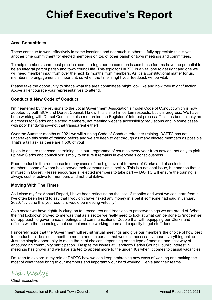# **Chief Executive's Report**

### **Area Committees**

These continue to work effectively in some locations and not much in others. I fully appreciate this is yet another time commitment for elected members on top of other parish or town meetings and committees.

To help members share best practice, come to together on common issues these forums have the potential to be an integral part of parish and town council life. This topic for DAPTC is a vital one to get right and one we will need member input from over the next 12 months from members. As it's a constitutional matter for us, membership engagement is important, so when the time is right your feedback will be vital.

Please take the opportunity to shape what the area committees might look like and how they might function. Above all encourage your representatives to attend.

### **Conduct & New Code of Conduct**

I'm heartened by the revisions to the Local Government Association's model Code of Conduct which is now adopted by both BCP and Dorset Council. I know it falls short in certain respects, but it is progress. We have been working with Dorset Council to also modernise the Register of Interest process. This has been clunky as a process for Clerks and elected members, not meeting website accessibility regulations and in some cases with poor handwriting—not that transparent either!

Over the Summer months of 2021 we will running Code of Conduct refresher training. DAPTC has not undertaken this scale of training before and we are keen to get through as many elected members as possible. That's a tall ask as there are 1,500 of you!

I plan to ensure that conduct training is in our programme of courses every year from now on, not only to pick up new Clerks and councillors; simply to ensure it remains in everyone's consciousness.

Poor conduct is the root cause in many cases of the high level of turnover of Clerks and also elected members, some of whom have served their communities superbly. This is a national issue, but one too that is mirrored in Dorset. Please encourage all elected members to take part — DAPTC will ensure the training is always cost effective for members and not prohibitive.

#### **Moving With The Times**

As I close my first Annual Report, I have been reflecting on the last 12 months and what we can learn from it. I've often been heard to say that I wouldn't have risked any money in a bet if someone had said in January 2020; "by June this year councils would be meeting virtually".

As a sector we have rightfully clung on to procedures and traditions to preserve things we are proud of. What the first lockdown proved to me was that as a sector we really need to look at what can be done to 'modernise' our approach to governance, meetings and communications. Couple that with equipping our Clerks and officers with the technology that can balance up working hours and capacity to get stuff done.

I sincerely hope that the Government will revisit virtual meetings and give our members the choice of how best to conduct their business month to month and I'm certain that wouldn't necessarily mean everything online. Just the simple opportunity to make the right choices, depending on the type of meeting and best way of encouraging community participation. Despite the issues at Handforth Parish Council, public interest in meetings has grown and we have started to appeal more to the under 40s when it comes to casual vacancies.

I'm keen to explore in my role at DAPTC how we can keep embracing new ways of working and making the most of what these bring to our members and importantly our hard working Clerks and their teams.

Neil Wedge

Chief Executive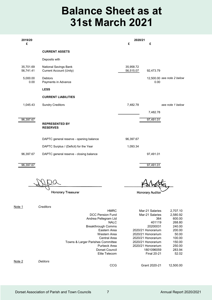## **Balance Sheet as at 31st March 2021**

| 2019/20<br>£           |                                                         | 2020/21<br>£           | £                                  |
|------------------------|---------------------------------------------------------|------------------------|------------------------------------|
|                        | <b>CURRENT ASSETS</b>                                   |                        |                                    |
|                        | Deposits with                                           |                        |                                    |
| 35,701.69<br>56,741.41 | National Savings Bank<br><b>Current Account (Unity)</b> | 35,958.72<br>56,515.07 | 92,473.79                          |
| 5,000.00<br>0.00       | <b>Debtors</b><br>Payments in Advance                   |                        | 12,500.00 see note 2 below<br>0.00 |
|                        | <b>LESS</b>                                             |                        |                                    |
|                        | <b>CURRENT LIABILITIES</b>                              |                        |                                    |
| 1,045.43               | <b>Sundry Creditors</b>                                 | 7,482.78               | see note 1 below                   |
|                        |                                                         |                        | 7,482.78                           |
| 96,397.67              | <b>REPRESENTED BY</b><br><b>RESERVES</b>                |                        | 97,491.01                          |
|                        | DAPTC general reserve - opening balance                 | 96,397.67              |                                    |
|                        | DAPTC Surplus / (Deficit) for the Year                  | 1,093.34               |                                    |
| 96,397.67              | DAPTC general reserve - closing balance                 |                        | 97,491.01                          |
| $96,397.\overline{67}$ |                                                         |                        | 97,491.01                          |

Honorary Treasurer

**Honorary Auditor** 

Note 1 *Creditors*

|        |                | <b>HMRC</b>                       | Mar-21 Salaries    | 2,707.10  |
|--------|----------------|-----------------------------------|--------------------|-----------|
|        |                | DCC Pension Fund                  | Mar-21 Salaries    | 2,580.92  |
|        |                | Andrea Pellegram Ltd              | 364                | 600.00    |
|        |                | <b>NALC</b>                       | 401119             | 268.80    |
|        |                | <b>Breakthrough Comms</b>         | 20200031           | 240.00    |
|        |                | Eastern Area                      | 2020/21 Honorarium | 200.00    |
|        |                | Western Area                      | 2020/21 Honorarium | 50.00     |
|        |                | Central Area                      | 2020/21 Honorarium | 100.00    |
|        |                | Towns & Larger Parishes Committee | 2020/21 Honorarium | 150.00    |
|        |                | Purbeck Area                      | 2020/21 Honorarium | 250.00    |
|        |                | Dorset Council                    | 1801096059         | 283.94    |
|        |                | Elite Telecom                     | <b>Final 20-21</b> | 52.02     |
| Note 2 | <b>Debtors</b> |                                   |                    |           |
|        |                | CCG                               | Grant 2020-21      | 12.500.00 |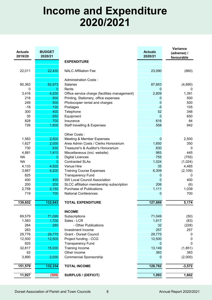## **Income and Expenditure 2020/2021**

| <b>EXPENDITURE</b><br>22,011<br>22,430<br><b>NALC Affiliation Fee</b><br>23,090<br>(660)<br><b>Administration Costs:</b><br>90,363<br>82,973<br>Salaries<br>87,663<br>(4,690)<br>$\mathbf 0$<br>0<br>Rents<br>$\mathbf 0$<br>0<br>3,416<br>4,200<br>Office service charge (facilities management)<br>2,809<br>1,391<br>Printing, Stationery, office expenses<br>218<br>500<br>500<br>0<br>249<br>500<br>Photocopier rental and charges<br>500<br>0<br>$-18$<br>105<br>100<br>Postages<br>$-5$<br>300<br>52<br>348<br>400<br>Telephone<br>35<br>$\Omega$<br>650<br>650<br>Equipment<br>828<br>616<br>700<br>Insurance<br>84<br>726<br>1,500<br>558<br>942<br>Staff travelling & Expenses<br>Other Costs:<br>1,583<br>2,500<br>Meeting & Member Expenses<br>2,500<br>0<br>1,627<br>2,000<br>Area Admin Costs / Clerks Honorarium<br>1,650<br>350<br>730<br>830<br>830<br>Treasurer's & Auditor's Honorarium<br>0<br>4,881<br>1,410<br>965<br>445<br>Miscellaneous (incl. website)<br>755<br><b>NA</b><br><b>Digital Licences</b><br>(755)<br>0<br><b>NA</b><br>0<br><b>Contracted SLAs</b><br>1,024<br>(1,024)<br>4,133<br>4,500<br>Venue Hire<br>35<br>4,465<br>6,309<br>3,667<br>4,200<br><b>Training Course Expenses</b><br>(2, 109)<br><b>Transparency Fund</b><br>825<br>0<br>0<br>400<br>400<br><b>SW Local Council Association</b><br>$\Omega$<br>400<br>200<br>200<br>206<br>SLCC affiliation membership subscription<br>(6)<br>2,758<br><b>Purchase of Publications</b><br>1,111<br>1,039<br>2,150<br>719<br>700<br><b>National Conferences</b><br>$\mathbf 0$<br>700<br>139,652<br>132,843<br><b>TOTAL EXPENDITURE</b><br>127,669<br>5,174<br><b>INCOME</b><br>71,099<br>69,579<br>71,049<br>Subscriptions<br>(50)<br>1,700<br>Sales - LCR<br>1,617<br>1,583<br>(83)<br>264<br>32<br>260<br>- Other Publications<br>(228)<br>283<br>257<br>257<br>Investment Income<br>29,776<br>29,775<br>29,775<br><b>Grant - Dorset Council</b><br>0<br>12,500<br>12,500<br>12,500<br>Project funding - CCG<br>0<br>825<br><b>Transparency Fund</b><br>0<br>0<br>15,000<br><b>Training Income</b><br>13,149<br>32,817<br>(1, 851)<br>Other income<br>383<br>62<br>383<br>3,890<br>2,000<br>(2,000)<br><b>Commercial Sponsorship</b><br>$\pmb{0}$<br>$-3,572$<br>151,579<br>132,334<br>128,762<br><b>TOTAL INCOME</b><br>11,927<br>1,093<br>(509)<br><b>SURPLUS / (DEFICIT)</b><br>1,602 | <b>Actuals</b><br>2019/20 | <b>BUDGET</b><br>2020/21 | <b>Actuals</b><br>2020/21 | <b>Variance</b><br>(adverse) /<br>favourable |
|------------------------------------------------------------------------------------------------------------------------------------------------------------------------------------------------------------------------------------------------------------------------------------------------------------------------------------------------------------------------------------------------------------------------------------------------------------------------------------------------------------------------------------------------------------------------------------------------------------------------------------------------------------------------------------------------------------------------------------------------------------------------------------------------------------------------------------------------------------------------------------------------------------------------------------------------------------------------------------------------------------------------------------------------------------------------------------------------------------------------------------------------------------------------------------------------------------------------------------------------------------------------------------------------------------------------------------------------------------------------------------------------------------------------------------------------------------------------------------------------------------------------------------------------------------------------------------------------------------------------------------------------------------------------------------------------------------------------------------------------------------------------------------------------------------------------------------------------------------------------------------------------------------------------------------------------------------------------------------------------------------------------------------------------------------------------------------------------------------------------------------------------------------------------------------------------------------------------------------------------------------------------------------------------------------------------------------------------------------------------------------|---------------------------|--------------------------|---------------------------|----------------------------------------------|
|                                                                                                                                                                                                                                                                                                                                                                                                                                                                                                                                                                                                                                                                                                                                                                                                                                                                                                                                                                                                                                                                                                                                                                                                                                                                                                                                                                                                                                                                                                                                                                                                                                                                                                                                                                                                                                                                                                                                                                                                                                                                                                                                                                                                                                                                                                                                                                                    |                           |                          |                           |                                              |
|                                                                                                                                                                                                                                                                                                                                                                                                                                                                                                                                                                                                                                                                                                                                                                                                                                                                                                                                                                                                                                                                                                                                                                                                                                                                                                                                                                                                                                                                                                                                                                                                                                                                                                                                                                                                                                                                                                                                                                                                                                                                                                                                                                                                                                                                                                                                                                                    |                           |                          |                           |                                              |
|                                                                                                                                                                                                                                                                                                                                                                                                                                                                                                                                                                                                                                                                                                                                                                                                                                                                                                                                                                                                                                                                                                                                                                                                                                                                                                                                                                                                                                                                                                                                                                                                                                                                                                                                                                                                                                                                                                                                                                                                                                                                                                                                                                                                                                                                                                                                                                                    |                           |                          |                           |                                              |
|                                                                                                                                                                                                                                                                                                                                                                                                                                                                                                                                                                                                                                                                                                                                                                                                                                                                                                                                                                                                                                                                                                                                                                                                                                                                                                                                                                                                                                                                                                                                                                                                                                                                                                                                                                                                                                                                                                                                                                                                                                                                                                                                                                                                                                                                                                                                                                                    |                           |                          |                           |                                              |
|                                                                                                                                                                                                                                                                                                                                                                                                                                                                                                                                                                                                                                                                                                                                                                                                                                                                                                                                                                                                                                                                                                                                                                                                                                                                                                                                                                                                                                                                                                                                                                                                                                                                                                                                                                                                                                                                                                                                                                                                                                                                                                                                                                                                                                                                                                                                                                                    |                           |                          |                           |                                              |
|                                                                                                                                                                                                                                                                                                                                                                                                                                                                                                                                                                                                                                                                                                                                                                                                                                                                                                                                                                                                                                                                                                                                                                                                                                                                                                                                                                                                                                                                                                                                                                                                                                                                                                                                                                                                                                                                                                                                                                                                                                                                                                                                                                                                                                                                                                                                                                                    |                           |                          |                           |                                              |
|                                                                                                                                                                                                                                                                                                                                                                                                                                                                                                                                                                                                                                                                                                                                                                                                                                                                                                                                                                                                                                                                                                                                                                                                                                                                                                                                                                                                                                                                                                                                                                                                                                                                                                                                                                                                                                                                                                                                                                                                                                                                                                                                                                                                                                                                                                                                                                                    |                           |                          |                           |                                              |
|                                                                                                                                                                                                                                                                                                                                                                                                                                                                                                                                                                                                                                                                                                                                                                                                                                                                                                                                                                                                                                                                                                                                                                                                                                                                                                                                                                                                                                                                                                                                                                                                                                                                                                                                                                                                                                                                                                                                                                                                                                                                                                                                                                                                                                                                                                                                                                                    |                           |                          |                           |                                              |
|                                                                                                                                                                                                                                                                                                                                                                                                                                                                                                                                                                                                                                                                                                                                                                                                                                                                                                                                                                                                                                                                                                                                                                                                                                                                                                                                                                                                                                                                                                                                                                                                                                                                                                                                                                                                                                                                                                                                                                                                                                                                                                                                                                                                                                                                                                                                                                                    |                           |                          |                           |                                              |
|                                                                                                                                                                                                                                                                                                                                                                                                                                                                                                                                                                                                                                                                                                                                                                                                                                                                                                                                                                                                                                                                                                                                                                                                                                                                                                                                                                                                                                                                                                                                                                                                                                                                                                                                                                                                                                                                                                                                                                                                                                                                                                                                                                                                                                                                                                                                                                                    |                           |                          |                           |                                              |
|                                                                                                                                                                                                                                                                                                                                                                                                                                                                                                                                                                                                                                                                                                                                                                                                                                                                                                                                                                                                                                                                                                                                                                                                                                                                                                                                                                                                                                                                                                                                                                                                                                                                                                                                                                                                                                                                                                                                                                                                                                                                                                                                                                                                                                                                                                                                                                                    |                           |                          |                           |                                              |
|                                                                                                                                                                                                                                                                                                                                                                                                                                                                                                                                                                                                                                                                                                                                                                                                                                                                                                                                                                                                                                                                                                                                                                                                                                                                                                                                                                                                                                                                                                                                                                                                                                                                                                                                                                                                                                                                                                                                                                                                                                                                                                                                                                                                                                                                                                                                                                                    |                           |                          |                           |                                              |
|                                                                                                                                                                                                                                                                                                                                                                                                                                                                                                                                                                                                                                                                                                                                                                                                                                                                                                                                                                                                                                                                                                                                                                                                                                                                                                                                                                                                                                                                                                                                                                                                                                                                                                                                                                                                                                                                                                                                                                                                                                                                                                                                                                                                                                                                                                                                                                                    |                           |                          |                           |                                              |
|                                                                                                                                                                                                                                                                                                                                                                                                                                                                                                                                                                                                                                                                                                                                                                                                                                                                                                                                                                                                                                                                                                                                                                                                                                                                                                                                                                                                                                                                                                                                                                                                                                                                                                                                                                                                                                                                                                                                                                                                                                                                                                                                                                                                                                                                                                                                                                                    |                           |                          |                           |                                              |
|                                                                                                                                                                                                                                                                                                                                                                                                                                                                                                                                                                                                                                                                                                                                                                                                                                                                                                                                                                                                                                                                                                                                                                                                                                                                                                                                                                                                                                                                                                                                                                                                                                                                                                                                                                                                                                                                                                                                                                                                                                                                                                                                                                                                                                                                                                                                                                                    |                           |                          |                           |                                              |
|                                                                                                                                                                                                                                                                                                                                                                                                                                                                                                                                                                                                                                                                                                                                                                                                                                                                                                                                                                                                                                                                                                                                                                                                                                                                                                                                                                                                                                                                                                                                                                                                                                                                                                                                                                                                                                                                                                                                                                                                                                                                                                                                                                                                                                                                                                                                                                                    |                           |                          |                           |                                              |
|                                                                                                                                                                                                                                                                                                                                                                                                                                                                                                                                                                                                                                                                                                                                                                                                                                                                                                                                                                                                                                                                                                                                                                                                                                                                                                                                                                                                                                                                                                                                                                                                                                                                                                                                                                                                                                                                                                                                                                                                                                                                                                                                                                                                                                                                                                                                                                                    |                           |                          |                           |                                              |
|                                                                                                                                                                                                                                                                                                                                                                                                                                                                                                                                                                                                                                                                                                                                                                                                                                                                                                                                                                                                                                                                                                                                                                                                                                                                                                                                                                                                                                                                                                                                                                                                                                                                                                                                                                                                                                                                                                                                                                                                                                                                                                                                                                                                                                                                                                                                                                                    |                           |                          |                           |                                              |
|                                                                                                                                                                                                                                                                                                                                                                                                                                                                                                                                                                                                                                                                                                                                                                                                                                                                                                                                                                                                                                                                                                                                                                                                                                                                                                                                                                                                                                                                                                                                                                                                                                                                                                                                                                                                                                                                                                                                                                                                                                                                                                                                                                                                                                                                                                                                                                                    |                           |                          |                           |                                              |
|                                                                                                                                                                                                                                                                                                                                                                                                                                                                                                                                                                                                                                                                                                                                                                                                                                                                                                                                                                                                                                                                                                                                                                                                                                                                                                                                                                                                                                                                                                                                                                                                                                                                                                                                                                                                                                                                                                                                                                                                                                                                                                                                                                                                                                                                                                                                                                                    |                           |                          |                           |                                              |
|                                                                                                                                                                                                                                                                                                                                                                                                                                                                                                                                                                                                                                                                                                                                                                                                                                                                                                                                                                                                                                                                                                                                                                                                                                                                                                                                                                                                                                                                                                                                                                                                                                                                                                                                                                                                                                                                                                                                                                                                                                                                                                                                                                                                                                                                                                                                                                                    |                           |                          |                           |                                              |
|                                                                                                                                                                                                                                                                                                                                                                                                                                                                                                                                                                                                                                                                                                                                                                                                                                                                                                                                                                                                                                                                                                                                                                                                                                                                                                                                                                                                                                                                                                                                                                                                                                                                                                                                                                                                                                                                                                                                                                                                                                                                                                                                                                                                                                                                                                                                                                                    |                           |                          |                           |                                              |
|                                                                                                                                                                                                                                                                                                                                                                                                                                                                                                                                                                                                                                                                                                                                                                                                                                                                                                                                                                                                                                                                                                                                                                                                                                                                                                                                                                                                                                                                                                                                                                                                                                                                                                                                                                                                                                                                                                                                                                                                                                                                                                                                                                                                                                                                                                                                                                                    |                           |                          |                           |                                              |
|                                                                                                                                                                                                                                                                                                                                                                                                                                                                                                                                                                                                                                                                                                                                                                                                                                                                                                                                                                                                                                                                                                                                                                                                                                                                                                                                                                                                                                                                                                                                                                                                                                                                                                                                                                                                                                                                                                                                                                                                                                                                                                                                                                                                                                                                                                                                                                                    |                           |                          |                           |                                              |
|                                                                                                                                                                                                                                                                                                                                                                                                                                                                                                                                                                                                                                                                                                                                                                                                                                                                                                                                                                                                                                                                                                                                                                                                                                                                                                                                                                                                                                                                                                                                                                                                                                                                                                                                                                                                                                                                                                                                                                                                                                                                                                                                                                                                                                                                                                                                                                                    |                           |                          |                           |                                              |
|                                                                                                                                                                                                                                                                                                                                                                                                                                                                                                                                                                                                                                                                                                                                                                                                                                                                                                                                                                                                                                                                                                                                                                                                                                                                                                                                                                                                                                                                                                                                                                                                                                                                                                                                                                                                                                                                                                                                                                                                                                                                                                                                                                                                                                                                                                                                                                                    |                           |                          |                           |                                              |
|                                                                                                                                                                                                                                                                                                                                                                                                                                                                                                                                                                                                                                                                                                                                                                                                                                                                                                                                                                                                                                                                                                                                                                                                                                                                                                                                                                                                                                                                                                                                                                                                                                                                                                                                                                                                                                                                                                                                                                                                                                                                                                                                                                                                                                                                                                                                                                                    |                           |                          |                           |                                              |
|                                                                                                                                                                                                                                                                                                                                                                                                                                                                                                                                                                                                                                                                                                                                                                                                                                                                                                                                                                                                                                                                                                                                                                                                                                                                                                                                                                                                                                                                                                                                                                                                                                                                                                                                                                                                                                                                                                                                                                                                                                                                                                                                                                                                                                                                                                                                                                                    |                           |                          |                           |                                              |
|                                                                                                                                                                                                                                                                                                                                                                                                                                                                                                                                                                                                                                                                                                                                                                                                                                                                                                                                                                                                                                                                                                                                                                                                                                                                                                                                                                                                                                                                                                                                                                                                                                                                                                                                                                                                                                                                                                                                                                                                                                                                                                                                                                                                                                                                                                                                                                                    |                           |                          |                           |                                              |
|                                                                                                                                                                                                                                                                                                                                                                                                                                                                                                                                                                                                                                                                                                                                                                                                                                                                                                                                                                                                                                                                                                                                                                                                                                                                                                                                                                                                                                                                                                                                                                                                                                                                                                                                                                                                                                                                                                                                                                                                                                                                                                                                                                                                                                                                                                                                                                                    |                           |                          |                           |                                              |
|                                                                                                                                                                                                                                                                                                                                                                                                                                                                                                                                                                                                                                                                                                                                                                                                                                                                                                                                                                                                                                                                                                                                                                                                                                                                                                                                                                                                                                                                                                                                                                                                                                                                                                                                                                                                                                                                                                                                                                                                                                                                                                                                                                                                                                                                                                                                                                                    |                           |                          |                           |                                              |
|                                                                                                                                                                                                                                                                                                                                                                                                                                                                                                                                                                                                                                                                                                                                                                                                                                                                                                                                                                                                                                                                                                                                                                                                                                                                                                                                                                                                                                                                                                                                                                                                                                                                                                                                                                                                                                                                                                                                                                                                                                                                                                                                                                                                                                                                                                                                                                                    |                           |                          |                           |                                              |
|                                                                                                                                                                                                                                                                                                                                                                                                                                                                                                                                                                                                                                                                                                                                                                                                                                                                                                                                                                                                                                                                                                                                                                                                                                                                                                                                                                                                                                                                                                                                                                                                                                                                                                                                                                                                                                                                                                                                                                                                                                                                                                                                                                                                                                                                                                                                                                                    |                           |                          |                           |                                              |
|                                                                                                                                                                                                                                                                                                                                                                                                                                                                                                                                                                                                                                                                                                                                                                                                                                                                                                                                                                                                                                                                                                                                                                                                                                                                                                                                                                                                                                                                                                                                                                                                                                                                                                                                                                                                                                                                                                                                                                                                                                                                                                                                                                                                                                                                                                                                                                                    |                           |                          |                           |                                              |
|                                                                                                                                                                                                                                                                                                                                                                                                                                                                                                                                                                                                                                                                                                                                                                                                                                                                                                                                                                                                                                                                                                                                                                                                                                                                                                                                                                                                                                                                                                                                                                                                                                                                                                                                                                                                                                                                                                                                                                                                                                                                                                                                                                                                                                                                                                                                                                                    |                           |                          |                           |                                              |
|                                                                                                                                                                                                                                                                                                                                                                                                                                                                                                                                                                                                                                                                                                                                                                                                                                                                                                                                                                                                                                                                                                                                                                                                                                                                                                                                                                                                                                                                                                                                                                                                                                                                                                                                                                                                                                                                                                                                                                                                                                                                                                                                                                                                                                                                                                                                                                                    |                           |                          |                           |                                              |
|                                                                                                                                                                                                                                                                                                                                                                                                                                                                                                                                                                                                                                                                                                                                                                                                                                                                                                                                                                                                                                                                                                                                                                                                                                                                                                                                                                                                                                                                                                                                                                                                                                                                                                                                                                                                                                                                                                                                                                                                                                                                                                                                                                                                                                                                                                                                                                                    |                           |                          |                           |                                              |
|                                                                                                                                                                                                                                                                                                                                                                                                                                                                                                                                                                                                                                                                                                                                                                                                                                                                                                                                                                                                                                                                                                                                                                                                                                                                                                                                                                                                                                                                                                                                                                                                                                                                                                                                                                                                                                                                                                                                                                                                                                                                                                                                                                                                                                                                                                                                                                                    |                           |                          |                           |                                              |
|                                                                                                                                                                                                                                                                                                                                                                                                                                                                                                                                                                                                                                                                                                                                                                                                                                                                                                                                                                                                                                                                                                                                                                                                                                                                                                                                                                                                                                                                                                                                                                                                                                                                                                                                                                                                                                                                                                                                                                                                                                                                                                                                                                                                                                                                                                                                                                                    |                           |                          |                           |                                              |
|                                                                                                                                                                                                                                                                                                                                                                                                                                                                                                                                                                                                                                                                                                                                                                                                                                                                                                                                                                                                                                                                                                                                                                                                                                                                                                                                                                                                                                                                                                                                                                                                                                                                                                                                                                                                                                                                                                                                                                                                                                                                                                                                                                                                                                                                                                                                                                                    |                           |                          |                           |                                              |
|                                                                                                                                                                                                                                                                                                                                                                                                                                                                                                                                                                                                                                                                                                                                                                                                                                                                                                                                                                                                                                                                                                                                                                                                                                                                                                                                                                                                                                                                                                                                                                                                                                                                                                                                                                                                                                                                                                                                                                                                                                                                                                                                                                                                                                                                                                                                                                                    |                           |                          |                           |                                              |